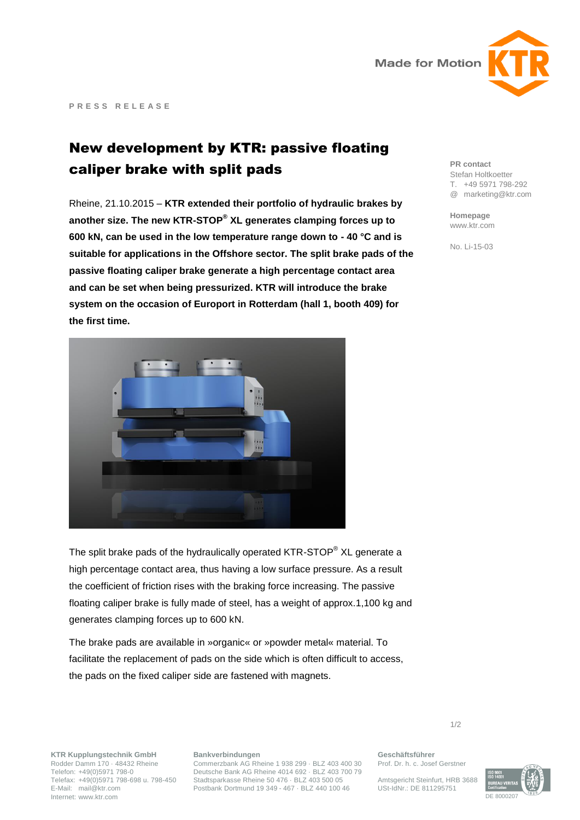

## New development by KTR: passive floating caliper brake with split pads

Rheine, 21.10.2015 – **KTR extended their portfolio of hydraulic brakes by another size. The new KTR-STOP® XL generates clamping forces up to 600 kN, can be used in the low temperature range down to - 40 °C and is suitable for applications in the Offshore sector. The split brake pads of the passive floating caliper brake generate a high percentage contact area and can be set when being pressurized. KTR will introduce the brake system on the occasion of Europort in Rotterdam (hall 1, booth 409) for the first time.**



The split brake pads of the hydraulically operated KTR-STOP $^\circ$  XL generate a high percentage contact area, thus having a low surface pressure. As a result the coefficient of friction rises with the braking force increasing. The passive floating caliper brake is fully made of steel, has a weight of approx.1,100 kg and generates clamping forces up to 600 kN.

The brake pads are available in »organic« or »powder metal« material. To facilitate the replacement of pads on the side which is often difficult to access, the pads on the fixed caliper side are fastened with magnets.

**PR contact** Stefan Holtkoetter T. +49 5971 798-292 @ marketing@ktr.com

**Homepage** www.ktr.com

No. Li-15-03

**KTR Kupplungstechnik GmbH** Rodder Damm 170 · 48432 Rheine Telefon: +49(0)5971 798-0 Telefax: +49(0)5971 798-698 u. 798-450 E-Mail: mail@ktr.com Internet: www.ktr.com

## **Bankverbindungen**

Commerzbank AG Rheine 1 938 299 · BLZ 403 400 30 Deutsche Bank AG Rheine 4014 692 · BLZ 403 700 79 Stadtsparkasse Rheine 50 476 · BLZ 403 500 05 Postbank Dortmund 19 349 - 467 · BLZ 440 100 46

**Geschäftsführer** Prof. Dr. h. c. Josef Gerstner

Amtsgericht Steinfurt, HRB 3688 USt-IdNr.: DE 811295751

DE 8000207

1/2